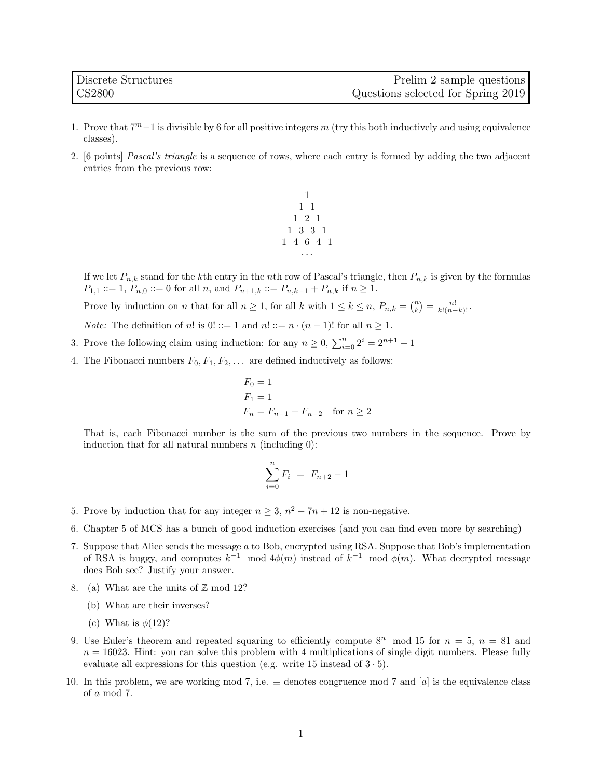- 1. Prove that  $7^m-1$  is divisible by 6 for all positive integers m (try this both inductively and using equivalence classes).
- 2. [6 points] Pascal's triangle is a sequence of rows, where each entry is formed by adding the two adjacent entries from the previous row:



If we let  $P_{n,k}$  stand for the kth entry in the nth row of Pascal's triangle, then  $P_{n,k}$  is given by the formulas  $P_{1,1} ::= 1, P_{n,0} ::= 0$  for all n, and  $P_{n+1,k} ::= P_{n,k-1} + P_{n,k}$  if  $n \ge 1$ .

Prove by induction on *n* that for all  $n \geq 1$ , for all k with  $1 \leq k \leq n$ ,  $P_{n,k} = \binom{n}{k} = \frac{n!}{k!(n-k)!}$ .

*Note:* The definition of n! is  $0! ::= 1$  and  $n! ::= n \cdot (n-1)!$  for all  $n \ge 1$ .

- 3. Prove the following claim using induction: for any  $n \geq 0$ ,  $\sum_{i=0}^{n} 2^i = 2^{n+1} 1$
- 4. The Fibonacci numbers  $F_0, F_1, F_2, \ldots$  are defined inductively as follows:

$$
F_0 = 1
$$
  
\n
$$
F_1 = 1
$$
  
\n
$$
F_n = F_{n-1} + F_{n-2} \quad \text{for } n \ge 2
$$

That is, each Fibonacci number is the sum of the previous two numbers in the sequence. Prove by induction that for all natural numbers  $n$  (including 0):

$$
\sum_{i=0}^{n} F_i = F_{n+2} - 1
$$

- 5. Prove by induction that for any integer  $n \geq 3$ ,  $n^2 7n + 12$  is non-negative.
- 6. Chapter 5 of MCS has a bunch of good induction exercises (and you can find even more by searching)
- 7. Suppose that Alice sends the message a to Bob, encrypted using RSA. Suppose that Bob's implementation of RSA is buggy, and computes  $k^{-1}$  mod  $4\phi(m)$  instead of  $k^{-1}$  mod  $\phi(m)$ . What decrypted message does Bob see? Justify your answer.
- 8. (a) What are the units of  $\mathbb Z$  mod 12?
	- (b) What are their inverses?
	- (c) What is  $\phi(12)$ ?
- 9. Use Euler's theorem and repeated squaring to efficiently compute  $8^n$  mod 15 for  $n = 5$ ,  $n = 81$  and  $n = 16023$ . Hint: you can solve this problem with 4 multiplications of single digit numbers. Please fully evaluate all expressions for this question (e.g. write 15 instead of  $3 \cdot 5$ ).
- 10. In this problem, we are working mod 7, i.e.  $\equiv$  denotes congruence mod 7 and [a] is the equivalence class of a mod 7.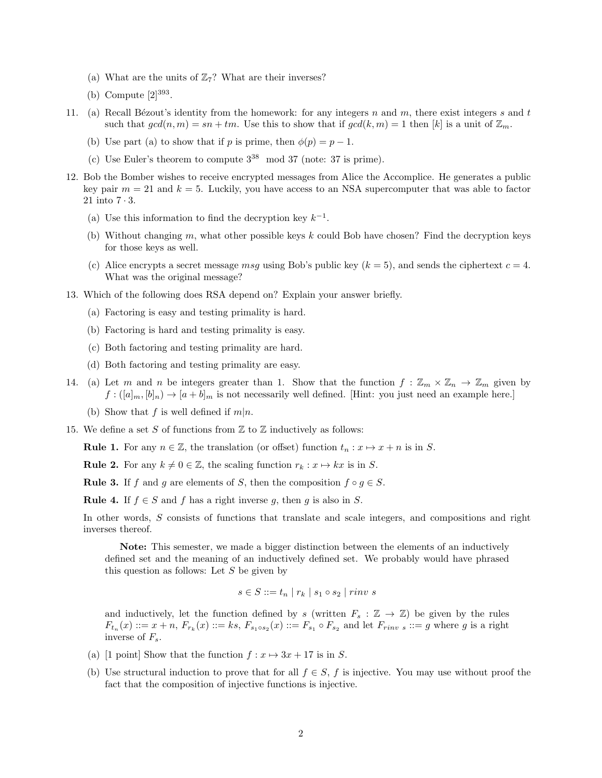- (a) What are the units of  $\mathbb{Z}_7$ ? What are their inverses?
- (b) Compute  $[2]^{393}$ .
- 11. (a) Recall Bézout's identity from the homework: for any integers n and m, there exist integers s and t such that  $gcd(n, m) = sn + tm$ . Use this to show that if  $gcd(k, m) = 1$  then  $[k]$  is a unit of  $\mathbb{Z}_m$ .
	- (b) Use part (a) to show that if p is prime, then  $\phi(p) = p 1$ .
	- (c) Use Euler's theorem to compute  $3^{38}$  mod 37 (note: 37 is prime).
- 12. Bob the Bomber wishes to receive encrypted messages from Alice the Accomplice. He generates a public key pair  $m = 21$  and  $k = 5$ . Luckily, you have access to an NSA supercomputer that was able to factor 21 into 7 · 3.
	- (a) Use this information to find the decryption key  $k^{-1}$ .
	- (b) Without changing m, what other possible keys k could Bob have chosen? Find the decryption keys for those keys as well.
	- (c) Alice encrypts a secret message msg using Bob's public key  $(k = 5)$ , and sends the ciphertext  $c = 4$ . What was the original message?
- 13. Which of the following does RSA depend on? Explain your answer briefly.
	- (a) Factoring is easy and testing primality is hard.
	- (b) Factoring is hard and testing primality is easy.
	- (c) Both factoring and testing primality are hard.
	- (d) Both factoring and testing primality are easy.
- 14. (a) Let m and n be integers greater than 1. Show that the function  $f: \mathbb{Z}_m \times \mathbb{Z}_n \to \mathbb{Z}_m$  given by  $f: ([a]_m, [b]_n) \to [a+b]_m$  is not necessarily well defined. [Hint: you just need an example here.]
	- (b) Show that f is well defined if  $m|n$ .
- 15. We define a set S of functions from  $\mathbb Z$  to  $\mathbb Z$  inductively as follows:

**Rule 1.** For any  $n \in \mathbb{Z}$ , the translation (or offset) function  $t_n : x \mapsto x + n$  is in S.

**Rule 2.** For any  $k \neq 0 \in \mathbb{Z}$ , the scaling function  $r_k : x \mapsto kx$  is in S.

**Rule 3.** If f and q are elements of S, then the composition  $f \circ q \in S$ .

**Rule 4.** If  $f \in S$  and f has a right inverse q, then q is also in S.

In other words, S consists of functions that translate and scale integers, and compositions and right inverses thereof.

Note: This semester, we made a bigger distinction between the elements of an inductively defined set and the meaning of an inductively defined set. We probably would have phrased this question as follows: Let  $S$  be given by

$$
s \in S ::= t_n \mid r_k \mid s_1 \circ s_2 \mid rinv \ s
$$

and inductively, let the function defined by s (written  $F_s : \mathbb{Z} \to \mathbb{Z}$ ) be given by the rules  $F_{t_n}(x) ::= x + n, F_{r_k}(x) ::= ks, F_{s_1 \circ s_2}(x) ::= F_{s_1} \circ F_{s_2}$  and let  $F_{rinv s} ::= g$  where g is a right inverse of  $F_s$ .

- (a) [1 point] Show that the function  $f: x \mapsto 3x + 17$  is in S.
- (b) Use structural induction to prove that for all  $f \in S$ , f is injective. You may use without proof the fact that the composition of injective functions is injective.